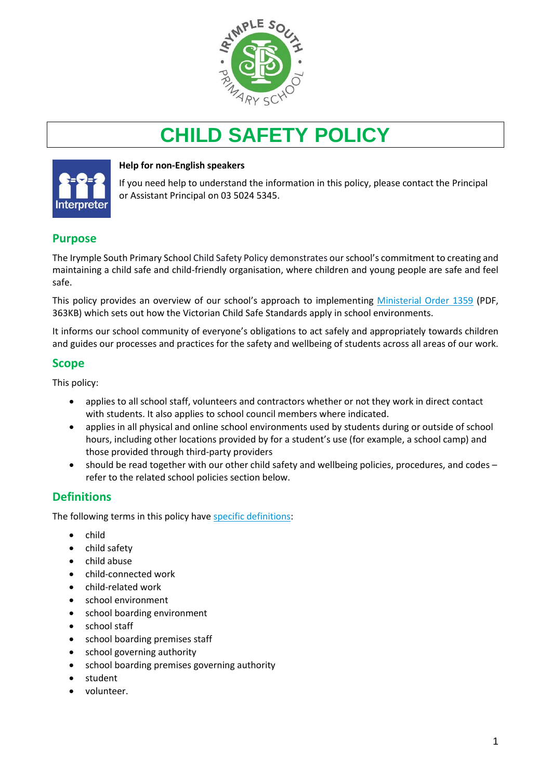

# **CHILD SAFETY POLICY**



#### **Help for non-English speakers**

If you need help to understand the information in this policy, please contact the Principal or Assistant Principal on 03 5024 5345.

### **Purpose**

The Irymple South Primary School Child Safety Policy demonstrates our school's commitment to creating and maintaining a child safe and child-friendly organisation, where children and young people are safe and feel safe.

This policy provides an overview of our school's approach to implementing [Ministerial Order 1359](https://www.education.vic.gov.au/Documents/about/programs/health/protect/Ministerial_Order.pdf) (PDF, 363KB) which sets out how the Victorian Child Safe Standards apply in school environments.

It informs our school community of everyone's obligations to act safely and appropriately towards children and guides our processes and practices for the safety and wellbeing of students across all areas of our work.

### **Scope**

This policy:

- applies to all school staff, volunteers and contractors whether or not they work in direct contact with students. It also applies to school council members where indicated.
- applies in all physical and online school environments used by students during or outside of school hours, including other locations provided by for a student's use (for example, a school camp) and those provided through third-party providers
- should be read together with our other child safety and wellbeing policies, procedures, and codes refer to the related school policies section below.

### **Definitions**

The following terms in this policy hav[e specific definitions:](https://www.vic.gov.au/child-safe-standards-definitions)

- child
- child safety
- child abuse
- child-connected work
- child-related work
- school environment
- school boarding environment
- school staff
- school boarding premises staff
- school governing authority
- school boarding premises governing authority
- student
- volunteer.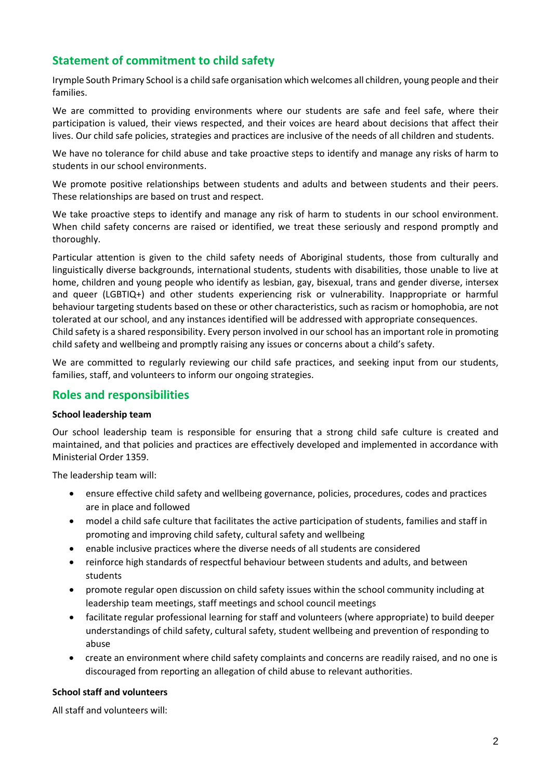### **Statement of commitment to child safety**

Irymple South Primary School is a child safe organisation which welcomes all children, young people and their families.

We are committed to providing environments where our students are safe and feel safe, where their participation is valued, their views respected, and their voices are heard about decisions that affect their lives. Our child safe policies, strategies and practices are inclusive of the needs of all children and students.

We have no tolerance for child abuse and take proactive steps to identify and manage any risks of harm to students in our school environments.

We promote positive relationships between students and adults and between students and their peers. These relationships are based on trust and respect.

We take proactive steps to identify and manage any risk of harm to students in our school environment. When child safety concerns are raised or identified, we treat these seriously and respond promptly and thoroughly.

Particular attention is given to the child safety needs of Aboriginal students, those from culturally and linguistically diverse backgrounds, international students, students with disabilities, those unable to live at home, children and young people who identify as lesbian, gay, bisexual, trans and gender diverse, intersex and queer (LGBTIQ+) and other students experiencing risk or vulnerability. Inappropriate or harmful behaviour targeting students based on these or other characteristics, such as racism or homophobia, are not tolerated at our school, and any instances identified will be addressed with appropriate consequences. Child safety is a shared responsibility. Every person involved in our school has an important role in promoting

child safety and wellbeing and promptly raising any issues or concerns about a child's safety. We are committed to regularly reviewing our child safe practices, and seeking input from our students,

families, staff, and volunteers to inform our ongoing strategies.

#### **Roles and responsibilities**

#### **School leadership team**

Our school leadership team is responsible for ensuring that a strong child safe culture is created and maintained, and that policies and practices are effectively developed and implemented in accordance with Ministerial Order 1359.

The leadership team will:

- ensure effective child safety and wellbeing governance, policies, procedures, codes and practices are in place and followed
- model a child safe culture that facilitates the active participation of students, families and staff in promoting and improving child safety, cultural safety and wellbeing
- enable inclusive practices where the diverse needs of all students are considered
- reinforce high standards of respectful behaviour between students and adults, and between students
- promote regular open discussion on child safety issues within the school community including at leadership team meetings, staff meetings and school council meetings
- facilitate regular professional learning for staff and volunteers (where appropriate) to build deeper understandings of child safety, cultural safety, student wellbeing and prevention of responding to abuse
- create an environment where child safety complaints and concerns are readily raised, and no one is discouraged from reporting an allegation of child abuse to relevant authorities.

#### **School staff and volunteers**

All staff and volunteers will: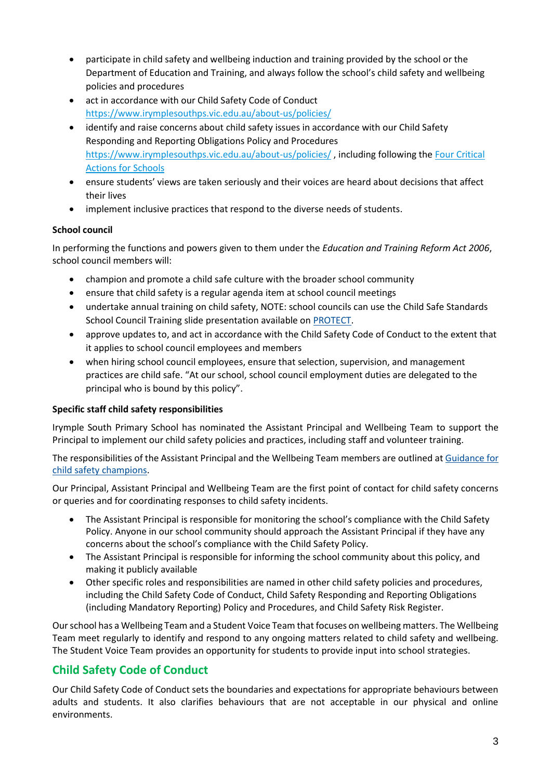- participate in child safety and wellbeing induction and training provided by the school or the Department of Education and Training, and always follow the school's child safety and wellbeing policies and procedures
- act in accordance with our Child Safety Code of Conduct <https://www.irymplesouthps.vic.edu.au/about-us/policies/>
- identify and raise concerns about child safety issues in accordance with our Child Safety Responding and Reporting Obligations Policy and Procedures <https://www.irymplesouthps.vic.edu.au/about-us/policies/> , including following th[e Four Critical](https://www.education.vic.gov.au/school/teachers/health/childprotection/Pages/report.aspx)  [Actions for Schools](https://www.education.vic.gov.au/school/teachers/health/childprotection/Pages/report.aspx)
- ensure students' views are taken seriously and their voices are heard about decisions that affect their lives
- implement inclusive practices that respond to the diverse needs of students.

#### **School council**

In performing the functions and powers given to them under the *Education and Training Reform Act 2006*, school council members will:

- champion and promote a child safe culture with the broader school community
- ensure that child safety is a regular agenda item at school council meetings
- undertake annual training on child safety, NOTE: school councils can use the Child Safe Standards School Council Training slide presentation available on [PROTECT.](http://www.vic.gov.au/protect)
- approve updates to, and act in accordance with the Child Safety Code of Conduct to the extent that it applies to school council employees and members
- when hiring school council employees, ensure that selection, supervision, and management practices are child safe. "At our school, school council employment duties are delegated to the principal who is bound by this policy".

#### **Specific staff child safety responsibilities**

Irymple South Primary School has nominated the Assistant Principal and Wellbeing Team to support the Principal to implement our child safety policies and practices, including staff and volunteer training.

The responsibilities of the Assistant Principal and the Wellbeing Team members are outlined at [Guidance for](https://www.vic.gov.au/guidance-child-safety-champions)  [child safety champions.](https://www.vic.gov.au/guidance-child-safety-champions)

Our Principal, Assistant Principal and Wellbeing Team are the first point of contact for child safety concerns or queries and for coordinating responses to child safety incidents.

- The Assistant Principal is responsible for monitoring the school's compliance with the Child Safety Policy. Anyone in our school community should approach the Assistant Principal if they have any concerns about the school's compliance with the Child Safety Policy.
- The Assistant Principal is responsible for informing the school community about this policy, and making it publicly available
- Other specific roles and responsibilities are named in other child safety policies and procedures, including the Child Safety Code of Conduct, Child Safety Responding and Reporting Obligations (including Mandatory Reporting) Policy and Procedures, and Child Safety Risk Register.

Our school has a Wellbeing Team and a Student Voice Team that focuses on wellbeing matters. The Wellbeing Team meet regularly to identify and respond to any ongoing matters related to child safety and wellbeing. The Student Voice Team provides an opportunity for students to provide input into school strategies.

# **Child Safety Code of Conduct**

Our Child Safety Code of Conduct sets the boundaries and expectations for appropriate behaviours between adults and students. It also clarifies behaviours that are not acceptable in our physical and online environments.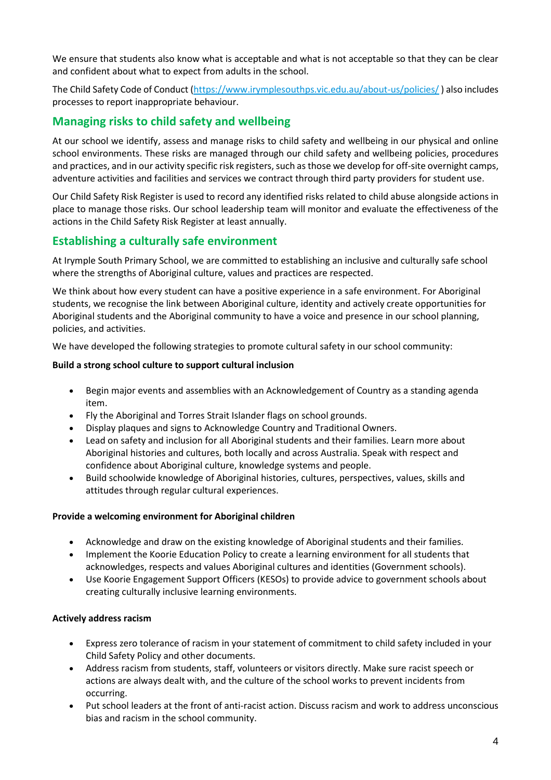We ensure that students also know what is acceptable and what is not acceptable so that they can be clear and confident about what to expect from adults in the school.

The Child Safety Code of Conduct [\(https://www.irymplesouthps.vic.edu.au/about-us/policies/](https://www.irymplesouthps.vic.edu.au/about-us/policies/) ) also includes processes to report inappropriate behaviour.

### **Managing risks to child safety and wellbeing**

At our school we identify, assess and manage risks to child safety and wellbeing in our physical and online school environments. These risks are managed through our child safety and wellbeing policies, procedures and practices, and in our activity specific risk registers, such as those we develop for off-site overnight camps, adventure activities and facilities and services we contract through third party providers for student use.

Our Child Safety Risk Register is used to record any identified risks related to child abuse alongside actions in place to manage those risks. Our school leadership team will monitor and evaluate the effectiveness of the actions in the Child Safety Risk Register at least annually.

### **Establishing a culturally safe environment**

At Irymple South Primary School, we are committed to establishing an inclusive and culturally safe school where the strengths of Aboriginal culture, values and practices are respected.

We think about how every student can have a positive experience in a safe environment. For Aboriginal students, we recognise the link between Aboriginal culture, identity and actively create opportunities for Aboriginal students and the Aboriginal community to have a voice and presence in our school planning, policies, and activities.

We have developed the following strategies to promote cultural safety in our school community:

#### **Build a strong school culture to support cultural inclusion**

- Begin major events and assemblies with an Acknowledgement of Country as a standing agenda item.
- Fly the Aboriginal and Torres Strait Islander flags on school grounds.
- Display plaques and signs to Acknowledge Country and Traditional Owners.
- Lead on safety and inclusion for all Aboriginal students and their families. Learn more about Aboriginal histories and cultures, both locally and across Australia. Speak with respect and confidence about Aboriginal culture, knowledge systems and people.
- Build schoolwide knowledge of Aboriginal histories, cultures, perspectives, values, skills and attitudes through regular cultural experiences.

#### **Provide a welcoming environment for Aboriginal children**

- Acknowledge and draw on the existing knowledge of Aboriginal students and their families.
- Implement the [Koorie Education](https://www2.education.vic.gov.au/pal/koorie-education/policy) Policy to create a learning environment for all students that acknowledges, respects and values Aboriginal cultures and identities (Government schools).
- Use [Koorie Engagement Support Officers](https://www.vic.gov.au/koorie-education-coordinator-contact-details) (KESOs) to provide advice to government schools about creating culturally inclusive learning environments.

#### **Actively address racism**

- Express zero tolerance of racism in your statement of commitment to child safety included in your Child Safety Policy and other documents.
- Address racism from students, staff, volunteers or visitors directly. Make sure racist speech or actions are always dealt with, and the culture of the school works to prevent incidents from occurring.
- Put school leaders at the front of anti-racist action. Discuss racism and work to address unconscious bias and racism in the school community.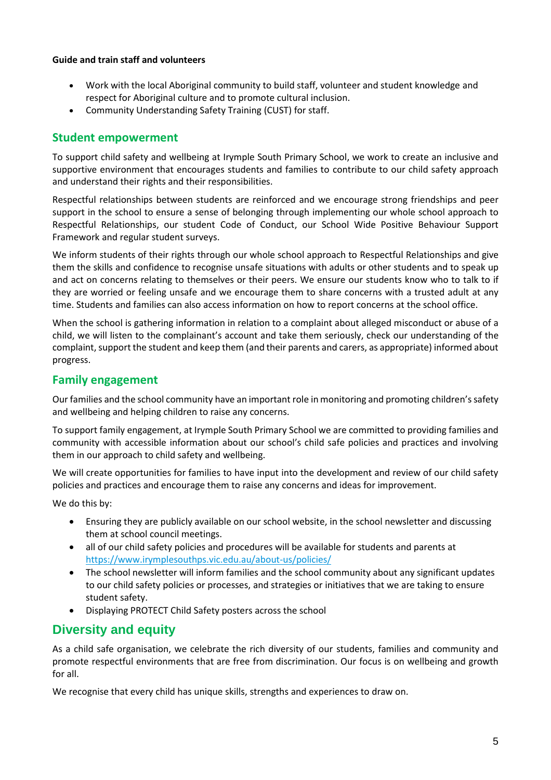#### **Guide and train staff and volunteers**

- Work with the local Aboriginal community to build staff, volunteer and student knowledge and respect for Aboriginal culture and to promote cultural inclusion.
- Community Understanding Safety Training (CUST) for staff.

#### **Student empowerment**

To support child safety and wellbeing at Irymple South Primary School, we work to create an inclusive and supportive environment that encourages students and families to contribute to our child safety approach and understand their rights and their responsibilities.

Respectful relationships between students are reinforced and we encourage strong friendships and peer support in the school to ensure a sense of belonging through implementing our whole school approach to Respectful Relationships, our student Code of Conduct, our School Wide Positive Behaviour Support Framework and regular student surveys.

We inform students of their rights through our whole school approach to Respectful Relationships and give them the skills and confidence to recognise unsafe situations with adults or other students and to speak up and act on concerns relating to themselves or their peers. We ensure our students know who to talk to if they are worried or feeling unsafe and we encourage them to share concerns with a trusted adult at any time. Students and families can also access information on how to report concerns at the school office.

When the school is gathering information in relation to a complaint about alleged misconduct or abuse of a child, we will listen to the complainant's account and take them seriously, check our understanding of the complaint, support the student and keep them (and their parents and carers, as appropriate) informed about progress.

### **Family engagement**

Our families and the school community have an important role in monitoring and promoting children's safety and wellbeing and helping children to raise any concerns.

To support family engagement, at Irymple South Primary School we are committed to providing families and community with accessible information about our school's child safe policies and practices and involving them in our approach to child safety and wellbeing.

We will create opportunities for families to have input into the development and review of our child safety policies and practices and encourage them to raise any concerns and ideas for improvement.

We do this by:

- Ensuring they are publicly available on our school website, in the school newsletter and discussing them at school council meetings.
- all of our child safety policies and procedures will be available for students and parents at <https://www.irymplesouthps.vic.edu.au/about-us/policies/>
- The school newsletter will inform families and the school community about any significant updates to our child safety policies or processes, and strategies or initiatives that we are taking to ensure student safety.
- Displaying PROTECT Child Safety posters across the school

# **Diversity and equity**

As a child safe organisation, we celebrate the rich diversity of our students, families and community and promote respectful environments that are free from discrimination. Our focus is on wellbeing and growth for all.

We recognise that every child has unique skills, strengths and experiences to draw on.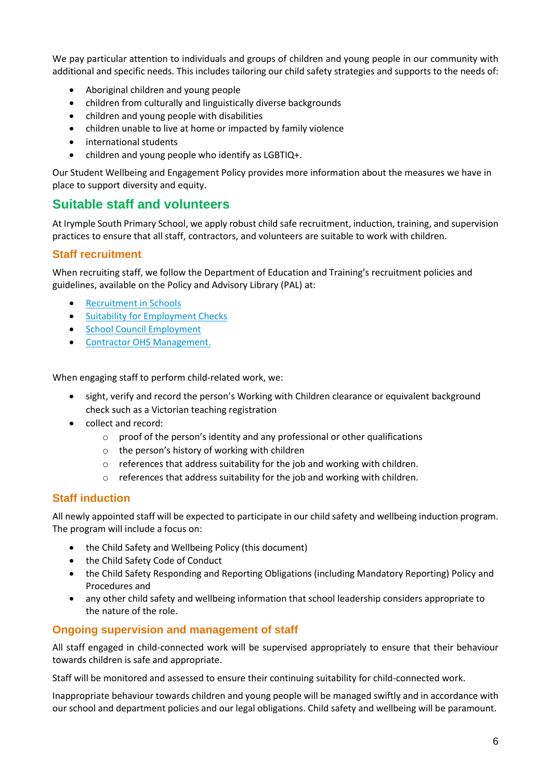We pay particular attention to individuals and groups of children and young people in our community with additional and specific needs. This includes tailoring our child safety strategies and supports to the needs of:

- Aboriginal children and young people
- children from culturally and linguistically diverse backgrounds
- children and young people with disabilities
- children unable to live at home or impacted by family violence
- international students
- children and young people who identify as LGBTIQ+.

Our Student Wellbeing and Engagement Policy provides more information about the measures we have in place to support diversity and equity.

# **Suitable staff and volunteers**

At Irymple South Primary School, we apply robust child safe recruitment, induction, training, and supervision practices to ensure that all staff, contractors, and volunteers are suitable to work with children.

#### **Staff recruitment**

When recruiting staff, we follow the Department of Education and Training's recruitment policies and guidelines, available on the Policy and Advisory Library (PAL) at:

- [Recruitment in Schools](https://www2.education.vic.gov.au/pal/recruitment-schools/overview)
- [Suitability for Employment Checks](https://www2.education.vic.gov.au/pal/suitability-employment-checks/overview)
- [School Council Employment](https://www2.education.vic.gov.au/pal/school-council-employment/overview)
- [Contractor OHS Management.](https://www2.education.vic.gov.au/pal/contractor-ohs-management/policy)

When engaging staff to perform child-related work, we:

- sight, verify and record the person's Working with Children clearance or equivalent background check such as a Victorian teaching registration
- collect and record:
	- o proof of the person's identity and any professional or other qualifications
	- o the person's history of working with children
	- o references that address suitability for the job and working with children.
	- o references that address suitability for the job and working with children.

### **Staff induction**

All newly appointed staff will be expected to participate in our child safety and wellbeing induction program. The program will include a focus on:

- the Child Safety and Wellbeing Policy (this document)
- the Child Safety Code of Conduct
- the Child Safety Responding and Reporting Obligations (including Mandatory Reporting) Policy and Procedures and
- any other child safety and wellbeing information that school leadership considers appropriate to the nature of the role.

### **Ongoing supervision and management of staff**

All staff engaged in child-connected work will be supervised appropriately to ensure that their behaviour towards children is safe and appropriate.

Staff will be monitored and assessed to ensure their continuing suitability for child-connected work.

Inappropriate behaviour towards children and young people will be managed swiftly and in accordance with our school and department policies and our legal obligations. Child safety and wellbeing will be paramount.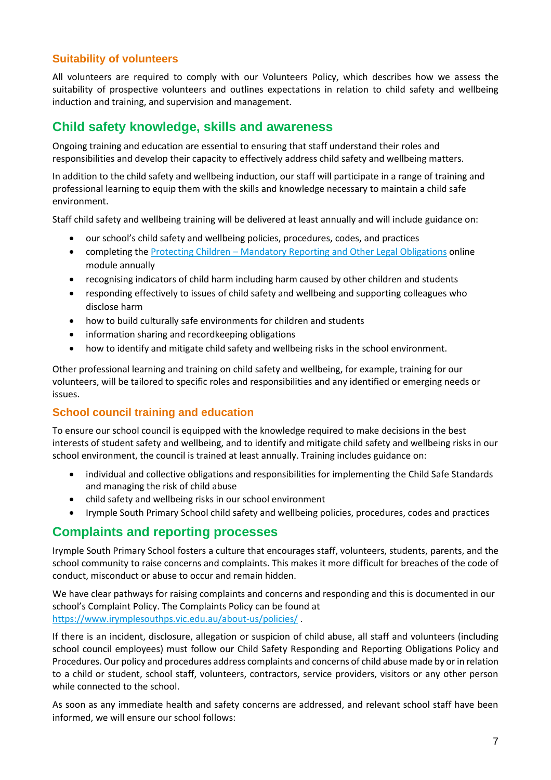### **Suitability of volunteers**

All volunteers are required to comply with our Volunteers Policy, which describes how we assess the suitability of prospective volunteers and outlines expectations in relation to child safety and wellbeing induction and training, and supervision and management.

### **Child safety knowledge, skills and awareness**

Ongoing training and education are essential to ensuring that staff understand their roles and responsibilities and develop their capacity to effectively address child safety and wellbeing matters.

In addition to the child safety and wellbeing induction, our staff will participate in a range of training and professional learning to equip them with the skills and knowledge necessary to maintain a child safe environment.

Staff child safety and wellbeing training will be delivered at least annually and will include guidance on:

- our school's child safety and wellbeing policies, procedures, codes, and practices
- completing the **Protecting Children** [Mandatory Reporting and Other](http://elearn.com.au/det/protectingchildren/) Legal Obligations online module annually
- recognising indicators of child harm including harm caused by other children and students
- responding effectively to issues of child safety and wellbeing and supporting colleagues who disclose harm
- how to build culturally safe environments for children and students
- information sharing and recordkeeping obligations
- how to identify and mitigate child safety and wellbeing risks in the school environment.

Other professional learning and training on child safety and wellbeing, for example, training for our volunteers, will be tailored to specific roles and responsibilities and any identified or emerging needs or issues.

### **School council training and education**

To ensure our school council is equipped with the knowledge required to make decisions in the best interests of student safety and wellbeing, and to identify and mitigate child safety and wellbeing risks in our school environment, the council is trained at least annually. Training includes guidance on:

- individual and collective obligations and responsibilities for implementing the Child Safe Standards and managing the risk of child abuse
- child safety and wellbeing risks in our school environment
- Irymple South Primary School child safety and wellbeing policies, procedures, codes and practices

### **Complaints and reporting processes**

Irymple South Primary School fosters a culture that encourages staff, volunteers, students, parents, and the school community to raise concerns and complaints. This makes it more difficult for breaches of the code of conduct, misconduct or abuse to occur and remain hidden.

We have clear pathways for raising complaints and concerns and responding and this is documented in our school's Complaint Policy. The Complaints Policy can be found at <https://www.irymplesouthps.vic.edu.au/about-us/policies/> .

If there is an incident, disclosure, allegation or suspicion of child abuse, all staff and volunteers (including school council employees) must follow our Child Safety Responding and Reporting Obligations Policy and Procedures. Our policy and procedures address complaints and concerns of child abuse made by or in relation to a child or student, school staff, volunteers, contractors, service providers, visitors or any other person while connected to the school.

As soon as any immediate health and safety concerns are addressed, and relevant school staff have been informed, we will ensure our school follows: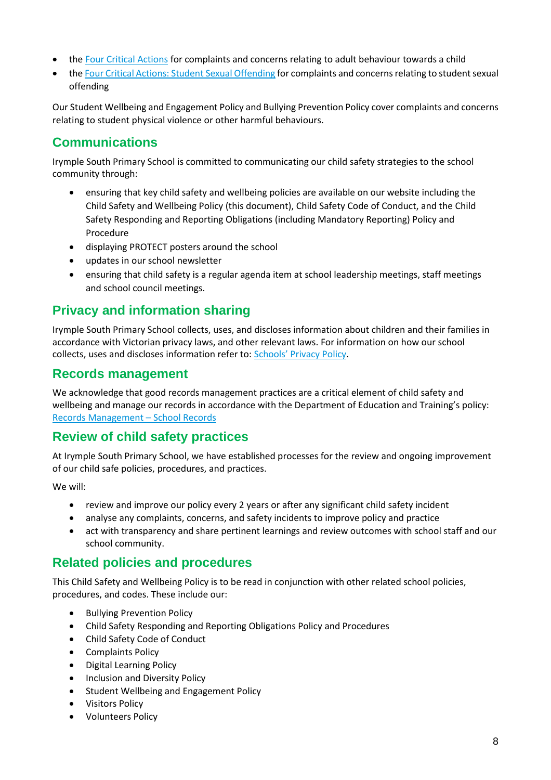- the [Four Critical Actions](https://www.education.vic.gov.au/Documents/about/programs/health/protect/FourCriticalActions_ChildAbuse.pdf) for complaints and concerns relating to adult behaviour towards a child
- th[e Four Critical Actions: Student Sexual Offending](https://www.education.vic.gov.au/school/teachers/health/childprotection/Pages/stusexual.aspx) for complaints and concerns relating to student sexual offending

Our Student Wellbeing and Engagement Policy and Bullying Prevention Policy cover complaints and concerns relating to student physical violence or other harmful behaviours.

# **Communications**

Irymple South Primary School is committed to communicating our child safety strategies to the school community through:

- ensuring that key child safety and wellbeing policies are available on our website including the Child Safety and Wellbeing Policy (this document), Child Safety Code of Conduct, and the Child Safety Responding and Reporting Obligations (including Mandatory Reporting) Policy and Procedure
- displaying PROTECT posters around the school
- updates in our school newsletter
- ensuring that child safety is a regular agenda item at school leadership meetings, staff meetings and school council meetings.

# **Privacy and information sharing**

Irymple South Primary School collects, uses, and discloses information about children and their families in accordance with Victorian privacy laws, and other relevant laws. For information on how our school collects, uses and discloses information refer to: [Schools' Privacy Policy](https://www.education.vic.gov.au/Pages/schoolsprivacypolicy.aspx).

### **Records management**

We acknowledge that good records management practices are a critical element of child safety and wellbeing and manage our records in accordance with the Department of Education and Training's policy: [Records Management](https://www2.education.vic.gov.au/pal/records-management/policy) – School Records

# **Review of child safety practices**

At Irymple South Primary School, we have established processes for the review and ongoing improvement of our child safe policies, procedures, and practices.

We will:

- review and improve our policy every 2 years or after any significant child safety incident
- analyse any complaints, concerns, and safety incidents to improve policy and practice
- act with transparency and share pertinent learnings and review outcomes with school staff and our school community.

# **Related policies and procedures**

This Child Safety and Wellbeing Policy is to be read in conjunction with other related school policies, procedures, and codes. These include our:

- Bullying Prevention Policy
- Child Safety Responding and Reporting Obligations Policy and Procedures
- Child Safety Code of Conduct
- Complaints Policy
- Digital Learning Policy
- Inclusion and Diversity Policy
- Student Wellbeing and Engagement Policy
- Visitors Policy
- Volunteers Policy